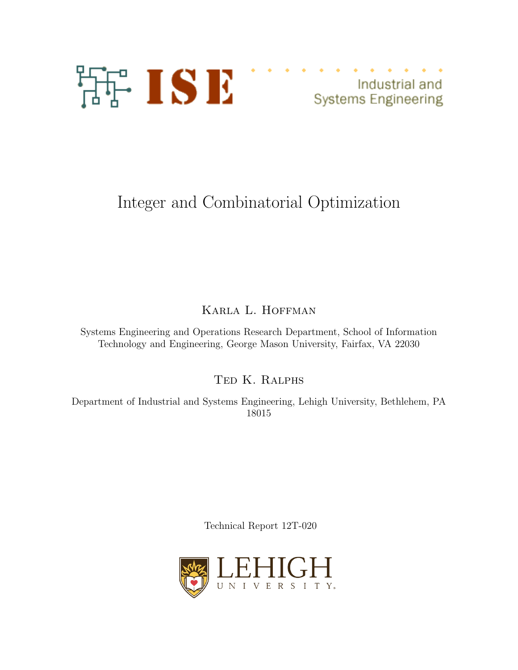

Industrial and **Systems Engineering** 

# Integer and Combinatorial Optimization

Karla L. Hoffman

Systems Engineering and Operations Research Department, School of Information Technology and Engineering, George Mason University, Fairfax, VA 22030

Ted K. Ralphs

Department of Industrial and Systems Engineering, Lehigh University, Bethlehem, PA 18015

Technical Report 12T-020

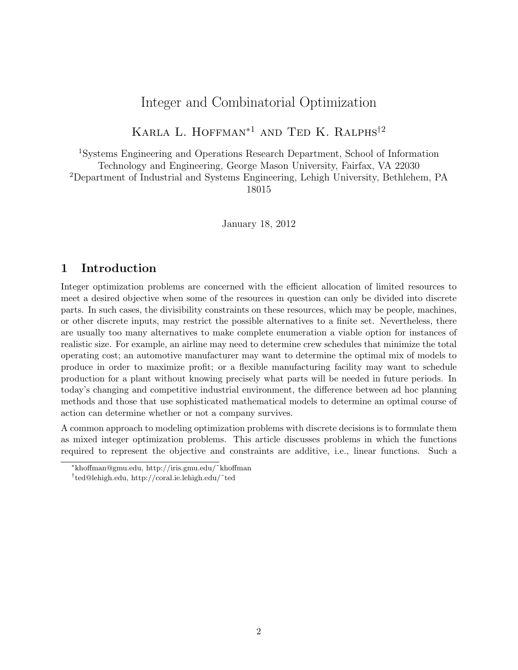## Integer and Combinatorial Optimization

### Karla L. Hoffman<sup>∗</sup><sup>1</sup> and Ted K. Ralphs†<sup>2</sup>

<sup>1</sup>Systems Engineering and Operations Research Department, School of Information Technology and Engineering, George Mason University, Fairfax, VA 22030 <sup>2</sup>Department of Industrial and Systems Engineering, Lehigh University, Bethlehem, PA 18015

January 18, 2012

#### 1 Introduction

Integer optimization problems are concerned with the efficient allocation of limited resources to meet a desired objective when some of the resources in question can only be divided into discrete parts. In such cases, the divisibility constraints on these resources, which may be people, machines, or other discrete inputs, may restrict the possible alternatives to a finite set. Nevertheless, there are usually too many alternatives to make complete enumeration a viable option for instances of realistic size. For example, an airline may need to determine crew schedules that minimize the total operating cost; an automotive manufacturer may want to determine the optimal mix of models to produce in order to maximize profit; or a flexible manufacturing facility may want to schedule production for a plant without knowing precisely what parts will be needed in future periods. In today's changing and competitive industrial environment, the difference between ad hoc planning methods and those that use sophisticated mathematical models to determine an optimal course of action can determine whether or not a company survives.

A common approach to modeling optimization problems with discrete decisions is to formulate them as mixed integer optimization problems. This article discusses problems in which the functions required to represent the objective and constraints are additive, i.e., linear functions. Such a

<sup>∗</sup> khoffman@gmu.edu, http://iris.gmu.edu/˜khoffman

<sup>†</sup> ted@lehigh.edu, http://coral.ie.lehigh.edu/˜ted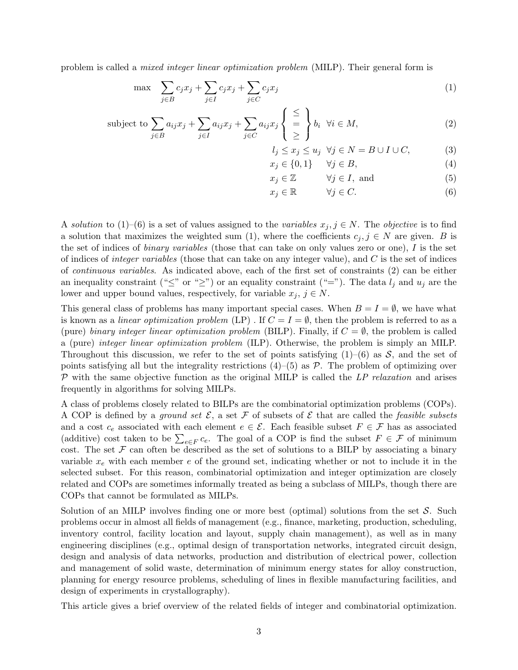problem is called a mixed integer linear optimization problem (MILP). Their general form is

$$
\max \sum_{j \in B} c_j x_j + \sum_{j \in I} c_j x_j + \sum_{j \in C} c_j x_j \tag{1}
$$

subject to 
$$
\sum_{j \in B} a_{ij} x_j + \sum_{j \in I} a_{ij} x_j + \sum_{j \in C} a_{ij} x_j \begin{cases} \le \\ = \\ \ge \end{cases} b_i \quad \forall i \in M,
$$
 (2)

$$
l_j \le x_j \le u_j \ \ \forall j \in N = B \cup I \cup C,\tag{3}
$$

$$
x_j \in \{0, 1\} \quad \forall j \in B,\tag{4}
$$

$$
x_j \in \mathbb{Z} \qquad \forall j \in I, \text{ and} \tag{5}
$$

$$
x_j \in \mathbb{R} \qquad \forall j \in C. \tag{6}
$$

A solution to  $(1)$ – $(6)$  is a set of values assigned to the variables  $x_j, j \in N$ . The objective is to find a solution that maximizes the weighted sum (1), where the coefficients  $c_j, j \in N$  are given. B is the set of indices of *binary variables* (those that can take on only values zero or one),  $I$  is the set of indices of integer variables (those that can take on any integer value), and  $C$  is the set of indices of continuous variables. As indicated above, each of the first set of constraints (2) can be either an inequality constraint (" $\leq$ " or " $\geq$ ") or an equality constraint ("="). The data  $l_i$  and  $u_j$  are the lower and upper bound values, respectively, for variable  $x_j, j \in N$ .

This general class of problems has many important special cases. When  $B = I = \emptyset$ , we have what is known as a linear optimization problem (LP). If  $C = I = \emptyset$ , then the problem is referred to as a (pure) binary integer linear optimization problem (BILP). Finally, if  $C = \emptyset$ , the problem is called a (pure) integer linear optimization problem (ILP). Otherwise, the problem is simply an MILP. Throughout this discussion, we refer to the set of points satisfying  $(1)$ – $(6)$  as S, and the set of points satisfying all but the integrality restrictions  $(4)$ – $(5)$  as P. The problem of optimizing over  $P$  with the same objective function as the original MILP is called the  $LP$  relaxation and arises frequently in algorithms for solving MILPs.

A class of problems closely related to BILPs are the combinatorial optimization problems (COPs). A COP is defined by a *ground set*  $\mathcal{E}$ , a set  $\mathcal F$  of subsets of  $\mathcal E$  that are called the *feasible subsets* and a cost  $c_e$  associated with each element  $e \in \mathcal{E}$ . Each feasible subset  $F \in \mathcal{F}$  has as associated (additive) cost taken to be  $\sum_{e \in F} c_e$ . The goal of a COP is find the subset  $F \in \mathcal{F}$  of minimum cost. The set  $\mathcal F$  can often be described as the set of solutions to a BILP by associating a binary variable  $x_e$  with each member e of the ground set, indicating whether or not to include it in the selected subset. For this reason, combinatorial optimization and integer optimization are closely related and COPs are sometimes informally treated as being a subclass of MILPs, though there are COPs that cannot be formulated as MILPs.

Solution of an MILP involves finding one or more best (optimal) solutions from the set  $S$ . Such problems occur in almost all fields of management (e.g., finance, marketing, production, scheduling, inventory control, facility location and layout, supply chain management), as well as in many engineering disciplines (e.g., optimal design of transportation networks, integrated circuit design, design and analysis of data networks, production and distribution of electrical power, collection and management of solid waste, determination of minimum energy states for alloy construction, planning for energy resource problems, scheduling of lines in flexible manufacturing facilities, and design of experiments in crystallography).

This article gives a brief overview of the related fields of integer and combinatorial optimization.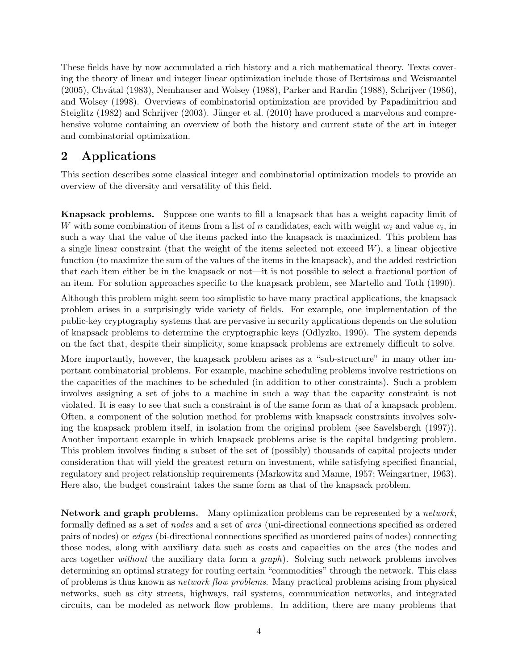These fields have by now accumulated a rich history and a rich mathematical theory. Texts covering the theory of linear and integer linear optimization include those of Bertsimas and Weismantel (2005), Chv´atal (1983), Nemhauser and Wolsey (1988), Parker and Rardin (1988), Schrijver (1986), and Wolsey (1998). Overviews of combinatorial optimization are provided by Papadimitriou and Steiglitz  $(1982)$  and Schrijver  $(2003)$ . Jünger et al.  $(2010)$  have produced a marvelous and comprehensive volume containing an overview of both the history and current state of the art in integer and combinatorial optimization.

#### 2 Applications

This section describes some classical integer and combinatorial optimization models to provide an overview of the diversity and versatility of this field.

Knapsack problems. Suppose one wants to fill a knapsack that has a weight capacity limit of W with some combination of items from a list of n candidates, each with weight  $w_i$  and value  $v_i$ , in such a way that the value of the items packed into the knapsack is maximized. This problem has a single linear constraint (that the weight of the items selected not exceed  $W$ ), a linear objective function (to maximize the sum of the values of the items in the knapsack), and the added restriction that each item either be in the knapsack or not—it is not possible to select a fractional portion of an item. For solution approaches specific to the knapsack problem, see Martello and Toth (1990).

Although this problem might seem too simplistic to have many practical applications, the knapsack problem arises in a surprisingly wide variety of fields. For example, one implementation of the public-key cryptography systems that are pervasive in security applications depends on the solution of knapsack problems to determine the cryptographic keys (Odlyzko, 1990). The system depends on the fact that, despite their simplicity, some knapsack problems are extremely difficult to solve.

More importantly, however, the knapsack problem arises as a "sub-structure" in many other important combinatorial problems. For example, machine scheduling problems involve restrictions on the capacities of the machines to be scheduled (in addition to other constraints). Such a problem involves assigning a set of jobs to a machine in such a way that the capacity constraint is not violated. It is easy to see that such a constraint is of the same form as that of a knapsack problem. Often, a component of the solution method for problems with knapsack constraints involves solving the knapsack problem itself, in isolation from the original problem (see Savelsbergh (1997)). Another important example in which knapsack problems arise is the capital budgeting problem. This problem involves finding a subset of the set of (possibly) thousands of capital projects under consideration that will yield the greatest return on investment, while satisfying specified financial, regulatory and project relationship requirements (Markowitz and Manne, 1957; Weingartner, 1963). Here also, the budget constraint takes the same form as that of the knapsack problem.

**Network and graph problems.** Many optimization problems can be represented by a *network*, formally defined as a set of nodes and a set of arcs (uni-directional connections specified as ordered pairs of nodes) or edges (bi-directional connections specified as unordered pairs of nodes) connecting those nodes, along with auxiliary data such as costs and capacities on the arcs (the nodes and arcs together *without* the auxiliary data form a *graph*). Solving such network problems involves determining an optimal strategy for routing certain "commodities" through the network. This class of problems is thus known as network flow problems. Many practical problems arising from physical networks, such as city streets, highways, rail systems, communication networks, and integrated circuits, can be modeled as network flow problems. In addition, there are many problems that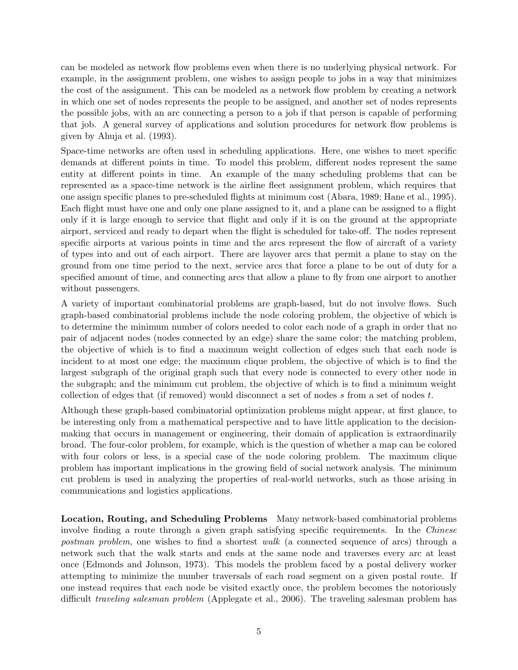can be modeled as network flow problems even when there is no underlying physical network. For example, in the assignment problem, one wishes to assign people to jobs in a way that minimizes the cost of the assignment. This can be modeled as a network flow problem by creating a network in which one set of nodes represents the people to be assigned, and another set of nodes represents the possible jobs, with an arc connecting a person to a job if that person is capable of performing that job. A general survey of applications and solution procedures for network flow problems is given by Ahuja et al. (1993).

Space-time networks are often used in scheduling applications. Here, one wishes to meet specific demands at different points in time. To model this problem, different nodes represent the same entity at different points in time. An example of the many scheduling problems that can be represented as a space-time network is the airline fleet assignment problem, which requires that one assign specific planes to pre-scheduled flights at minimum cost (Abara, 1989; Hane et al., 1995). Each flight must have one and only one plane assigned to it, and a plane can be assigned to a flight only if it is large enough to service that flight and only if it is on the ground at the appropriate airport, serviced and ready to depart when the flight is scheduled for take-off. The nodes represent specific airports at various points in time and the arcs represent the flow of aircraft of a variety of types into and out of each airport. There are layover arcs that permit a plane to stay on the ground from one time period to the next, service arcs that force a plane to be out of duty for a specified amount of time, and connecting arcs that allow a plane to fly from one airport to another without passengers.

A variety of important combinatorial problems are graph-based, but do not involve flows. Such graph-based combinatorial problems include the node coloring problem, the objective of which is to determine the minimum number of colors needed to color each node of a graph in order that no pair of adjacent nodes (nodes connected by an edge) share the same color; the matching problem, the objective of which is to find a maximum weight collection of edges such that each node is incident to at most one edge; the maximum clique problem, the objective of which is to find the largest subgraph of the original graph such that every node is connected to every other node in the subgraph; and the minimum cut problem, the objective of which is to find a minimum weight collection of edges that (if removed) would disconnect a set of nodes s from a set of nodes t.

Although these graph-based combinatorial optimization problems might appear, at first glance, to be interesting only from a mathematical perspective and to have little application to the decisionmaking that occurs in management or engineering, their domain of application is extraordinarily broad. The four-color problem, for example, which is the question of whether a map can be colored with four colors or less, is a special case of the node coloring problem. The maximum clique problem has important implications in the growing field of social network analysis. The minimum cut problem is used in analyzing the properties of real-world networks, such as those arising in communications and logistics applications.

Location, Routing, and Scheduling Problems Many network-based combinatorial problems involve finding a route through a given graph satisfying specific requirements. In the Chinese postman problem, one wishes to find a shortest walk (a connected sequence of arcs) through a network such that the walk starts and ends at the same node and traverses every arc at least once (Edmonds and Johnson, 1973). This models the problem faced by a postal delivery worker attempting to minimize the number traversals of each road segment on a given postal route. If one instead requires that each node be visited exactly once, the problem becomes the notoriously difficult traveling salesman problem (Applegate et al., 2006). The traveling salesman problem has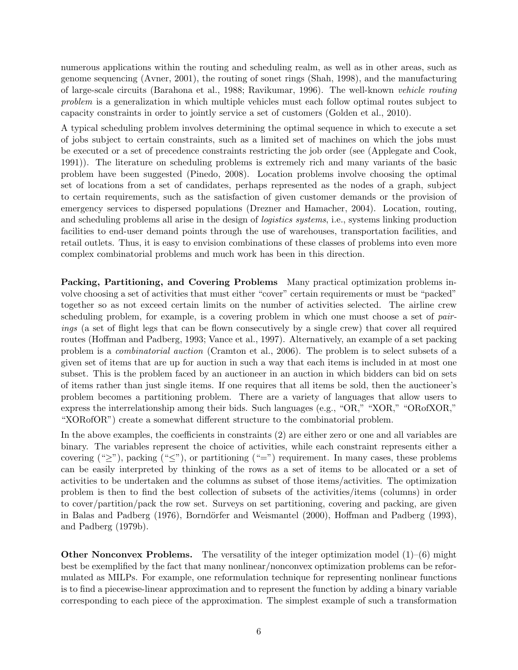numerous applications within the routing and scheduling realm, as well as in other areas, such as genome sequencing (Avner, 2001), the routing of sonet rings (Shah, 1998), and the manufacturing of large-scale circuits (Barahona et al., 1988; Ravikumar, 1996). The well-known vehicle routing problem is a generalization in which multiple vehicles must each follow optimal routes subject to capacity constraints in order to jointly service a set of customers (Golden et al., 2010).

A typical scheduling problem involves determining the optimal sequence in which to execute a set of jobs subject to certain constraints, such as a limited set of machines on which the jobs must be executed or a set of precedence constraints restricting the job order (see (Applegate and Cook, 1991)). The literature on scheduling problems is extremely rich and many variants of the basic problem have been suggested (Pinedo, 2008). Location problems involve choosing the optimal set of locations from a set of candidates, perhaps represented as the nodes of a graph, subject to certain requirements, such as the satisfaction of given customer demands or the provision of emergency services to dispersed populations (Drezner and Hamacher, 2004). Location, routing, and scheduling problems all arise in the design of *logistics systems*, i.e., systems linking production facilities to end-user demand points through the use of warehouses, transportation facilities, and retail outlets. Thus, it is easy to envision combinations of these classes of problems into even more complex combinatorial problems and much work has been in this direction.

Packing, Partitioning, and Covering Problems Many practical optimization problems involve choosing a set of activities that must either "cover" certain requirements or must be "packed" together so as not exceed certain limits on the number of activities selected. The airline crew scheduling problem, for example, is a covering problem in which one must choose a set of pairings (a set of flight legs that can be flown consecutively by a single crew) that cover all required routes (Hoffman and Padberg, 1993; Vance et al., 1997). Alternatively, an example of a set packing problem is a combinatorial auction (Cramton et al., 2006). The problem is to select subsets of a given set of items that are up for auction in such a way that each items is included in at most one subset. This is the problem faced by an auctioneer in an auction in which bidders can bid on sets of items rather than just single items. If one requires that all items be sold, then the auctioneer's problem becomes a partitioning problem. There are a variety of languages that allow users to express the interrelationship among their bids. Such languages (e.g., "OR," "XOR," "ORofXOR," "XORofOR") create a somewhat different structure to the combinatorial problem.

In the above examples, the coefficients in constraints (2) are either zero or one and all variables are binary. The variables represent the choice of activities, while each constraint represents either a covering  $(\mathscr{L})$ , packing  $(\mathscr{L})$ , or partitioning  $(\mathscr{L})$  requirement. In many cases, these problems can be easily interpreted by thinking of the rows as a set of items to be allocated or a set of activities to be undertaken and the columns as subset of those items/activities. The optimization problem is then to find the best collection of subsets of the activities/items (columns) in order to cover/partition/pack the row set. Surveys on set partitioning, covering and packing, are given in Balas and Padberg (1976), Borndörfer and Weismantel (2000), Hoffman and Padberg (1993), and Padberg (1979b).

**Other Nonconvex Problems.** The versatility of the integer optimization model  $(1)-(6)$  might best be exemplified by the fact that many nonlinear/nonconvex optimization problems can be reformulated as MILPs. For example, one reformulation technique for representing nonlinear functions is to find a piecewise-linear approximation and to represent the function by adding a binary variable corresponding to each piece of the approximation. The simplest example of such a transformation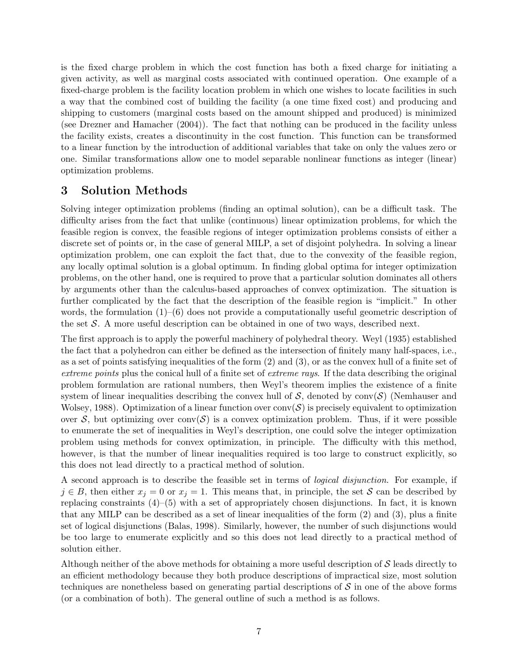is the fixed charge problem in which the cost function has both a fixed charge for initiating a given activity, as well as marginal costs associated with continued operation. One example of a fixed-charge problem is the facility location problem in which one wishes to locate facilities in such a way that the combined cost of building the facility (a one time fixed cost) and producing and shipping to customers (marginal costs based on the amount shipped and produced) is minimized (see Drezner and Hamacher (2004)). The fact that nothing can be produced in the facility unless the facility exists, creates a discontinuity in the cost function. This function can be transformed to a linear function by the introduction of additional variables that take on only the values zero or one. Similar transformations allow one to model separable nonlinear functions as integer (linear) optimization problems.

#### 3 Solution Methods

Solving integer optimization problems (finding an optimal solution), can be a difficult task. The difficulty arises from the fact that unlike (continuous) linear optimization problems, for which the feasible region is convex, the feasible regions of integer optimization problems consists of either a discrete set of points or, in the case of general MILP, a set of disjoint polyhedra. In solving a linear optimization problem, one can exploit the fact that, due to the convexity of the feasible region, any locally optimal solution is a global optimum. In finding global optima for integer optimization problems, on the other hand, one is required to prove that a particular solution dominates all others by arguments other than the calculus-based approaches of convex optimization. The situation is further complicated by the fact that the description of the feasible region is "implicit." In other words, the formulation  $(1)$ – $(6)$  does not provide a computationally useful geometric description of the set  $S$ . A more useful description can be obtained in one of two ways, described next.

The first approach is to apply the powerful machinery of polyhedral theory. Weyl (1935) established the fact that a polyhedron can either be defined as the intersection of finitely many half-spaces, i.e., as a set of points satisfying inequalities of the form (2) and (3), or as the convex hull of a finite set of extreme points plus the conical hull of a finite set of extreme rays. If the data describing the original problem formulation are rational numbers, then Weyl's theorem implies the existence of a finite system of linear inequalities describing the convex hull of  $S$ , denoted by conv $(S)$  (Nemhauser and Wolsey, 1988). Optimization of a linear function over  $conv(S)$  is precisely equivalent to optimization over S, but optimizing over conv $(\mathcal{S})$  is a convex optimization problem. Thus, if it were possible to enumerate the set of inequalities in Weyl's description, one could solve the integer optimization problem using methods for convex optimization, in principle. The difficulty with this method, however, is that the number of linear inequalities required is too large to construct explicitly, so this does not lead directly to a practical method of solution.

A second approach is to describe the feasible set in terms of logical disjunction. For example, if  $j \in B$ , then either  $x_j = 0$  or  $x_j = 1$ . This means that, in principle, the set S can be described by replacing constraints  $(4)$ – $(5)$  with a set of appropriately chosen disjunctions. In fact, it is known that any MILP can be described as a set of linear inequalities of the form (2) and (3), plus a finite set of logical disjunctions (Balas, 1998). Similarly, however, the number of such disjunctions would be too large to enumerate explicitly and so this does not lead directly to a practical method of solution either.

Although neither of the above methods for obtaining a more useful description of  $S$  leads directly to an efficient methodology because they both produce descriptions of impractical size, most solution techniques are nonetheless based on generating partial descriptions of  $\mathcal S$  in one of the above forms (or a combination of both). The general outline of such a method is as follows.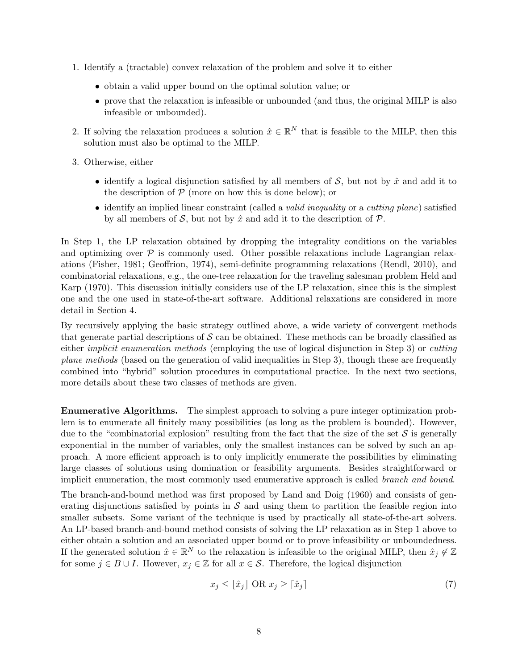- 1. Identify a (tractable) convex relaxation of the problem and solve it to either
	- obtain a valid upper bound on the optimal solution value; or
	- prove that the relaxation is infeasible or unbounded (and thus, the original MILP is also infeasible or unbounded).
- 2. If solving the relaxation produces a solution  $\hat{x} \in \mathbb{R}^N$  that is feasible to the MILP, then this solution must also be optimal to the MILP.
- 3. Otherwise, either
	- identify a logical disjunction satisfied by all members of  $S$ , but not by  $\hat{x}$  and add it to the description of  $P$  (more on how this is done below); or
	- identify an implied linear constraint (called a valid inequality or a cutting plane) satisfied by all members of S, but not by  $\hat{x}$  and add it to the description of  $\mathcal{P}$ .

In Step 1, the LP relaxation obtained by dropping the integrality conditions on the variables and optimizing over  $P$  is commonly used. Other possible relaxations include Lagrangian relaxations (Fisher, 1981; Geoffrion, 1974), semi-definite programming relaxations (Rendl, 2010), and combinatorial relaxations, e.g., the one-tree relaxation for the traveling salesman problem Held and Karp (1970). This discussion initially considers use of the LP relaxation, since this is the simplest one and the one used in state-of-the-art software. Additional relaxations are considered in more detail in Section 4.

By recursively applying the basic strategy outlined above, a wide variety of convergent methods that generate partial descriptions of  $S$  can be obtained. These methods can be broadly classified as either *implicit enumeration methods* (employing the use of logical disjunction in Step 3) or *cutting* plane methods (based on the generation of valid inequalities in Step 3), though these are frequently combined into "hybrid" solution procedures in computational practice. In the next two sections, more details about these two classes of methods are given.

Enumerative Algorithms. The simplest approach to solving a pure integer optimization problem is to enumerate all finitely many possibilities (as long as the problem is bounded). However, due to the "combinatorial explosion" resulting from the fact that the size of the set  $S$  is generally exponential in the number of variables, only the smallest instances can be solved by such an approach. A more efficient approach is to only implicitly enumerate the possibilities by eliminating large classes of solutions using domination or feasibility arguments. Besides straightforward or implicit enumeration, the most commonly used enumerative approach is called *branch and bound*.

The branch-and-bound method was first proposed by Land and Doig (1960) and consists of generating disjunctions satisfied by points in  $S$  and using them to partition the feasible region into smaller subsets. Some variant of the technique is used by practically all state-of-the-art solvers. An LP-based branch-and-bound method consists of solving the LP relaxation as in Step 1 above to either obtain a solution and an associated upper bound or to prove infeasibility or unboundedness. If the generated solution  $\hat{x} \in \mathbb{R}^N$  to the relaxation is infeasible to the original MILP, then  $\hat{x}_j \notin \mathbb{Z}$ for some  $j \in B \cup I$ . However,  $x_j \in \mathbb{Z}$  for all  $x \in S$ . Therefore, the logical disjunction

$$
x_j \leq \lfloor \hat{x}_j \rfloor \text{ OR } x_j \geq \lceil \hat{x}_j \rceil \tag{7}
$$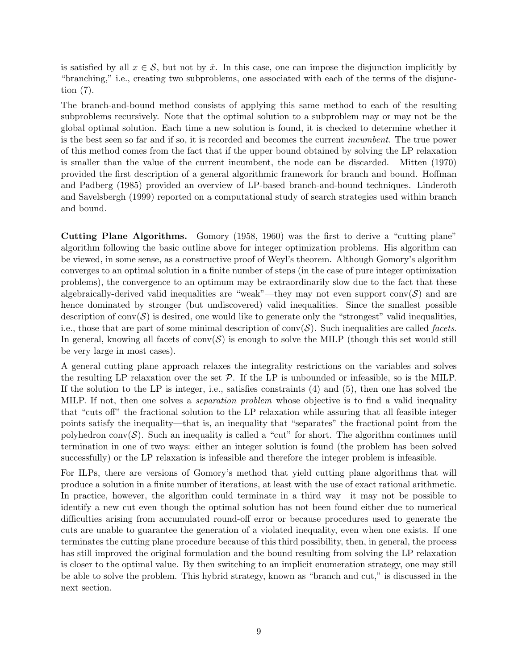is satisfied by all  $x \in \mathcal{S}$ , but not by  $\hat{x}$ . In this case, one can impose the disjunction implicitly by "branching," i.e., creating two subproblems, one associated with each of the terms of the disjunction (7).

The branch-and-bound method consists of applying this same method to each of the resulting subproblems recursively. Note that the optimal solution to a subproblem may or may not be the global optimal solution. Each time a new solution is found, it is checked to determine whether it is the best seen so far and if so, it is recorded and becomes the current incumbent. The true power of this method comes from the fact that if the upper bound obtained by solving the LP relaxation is smaller than the value of the current incumbent, the node can be discarded. Mitten (1970) provided the first description of a general algorithmic framework for branch and bound. Hoffman and Padberg (1985) provided an overview of LP-based branch-and-bound techniques. Linderoth and Savelsbergh (1999) reported on a computational study of search strategies used within branch and bound.

Cutting Plane Algorithms. Gomory (1958, 1960) was the first to derive a "cutting plane" algorithm following the basic outline above for integer optimization problems. His algorithm can be viewed, in some sense, as a constructive proof of Weyl's theorem. Although Gomory's algorithm converges to an optimal solution in a finite number of steps (in the case of pure integer optimization problems), the convergence to an optimum may be extraordinarily slow due to the fact that these algebraically-derived valid inequalities are "weak"—they may not even support  $conv(S)$  and are hence dominated by stronger (but undiscovered) valid inequalities. Since the smallest possible description of conv $(\mathcal{S})$  is desired, one would like to generate only the "strongest" valid inequalities, i.e., those that are part of some minimal description of  $conv(S)$ . Such inequalities are called facets. In general, knowing all facets of  $conv(S)$  is enough to solve the MILP (though this set would still be very large in most cases).

A general cutting plane approach relaxes the integrality restrictions on the variables and solves the resulting LP relaxation over the set  $P$ . If the LP is unbounded or infeasible, so is the MILP. If the solution to the LP is integer, i.e., satisfies constraints (4) and (5), then one has solved the MILP. If not, then one solves a *separation problem* whose objective is to find a valid inequality that "cuts off" the fractional solution to the LP relaxation while assuring that all feasible integer points satisfy the inequality—that is, an inequality that "separates" the fractional point from the polyhedron conv $(\mathcal{S})$ . Such an inequality is called a "cut" for short. The algorithm continues until termination in one of two ways: either an integer solution is found (the problem has been solved successfully) or the LP relaxation is infeasible and therefore the integer problem is infeasible.

For ILPs, there are versions of Gomory's method that yield cutting plane algorithms that will produce a solution in a finite number of iterations, at least with the use of exact rational arithmetic. In practice, however, the algorithm could terminate in a third way—it may not be possible to identify a new cut even though the optimal solution has not been found either due to numerical difficulties arising from accumulated round-off error or because procedures used to generate the cuts are unable to guarantee the generation of a violated inequality, even when one exists. If one terminates the cutting plane procedure because of this third possibility, then, in general, the process has still improved the original formulation and the bound resulting from solving the LP relaxation is closer to the optimal value. By then switching to an implicit enumeration strategy, one may still be able to solve the problem. This hybrid strategy, known as "branch and cut," is discussed in the next section.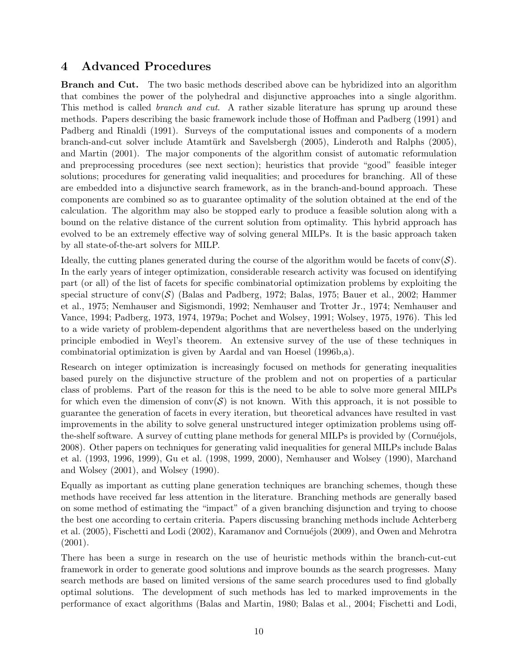#### 4 Advanced Procedures

Branch and Cut. The two basic methods described above can be hybridized into an algorithm that combines the power of the polyhedral and disjunctive approaches into a single algorithm. This method is called *branch and cut*. A rather sizable literature has sprung up around these methods. Papers describing the basic framework include those of Hoffman and Padberg (1991) and Padberg and Rinaldi (1991). Surveys of the computational issues and components of a modern branch-and-cut solver include Atamtürk and Savelsbergh (2005), Linderoth and Ralphs (2005), and Martin (2001). The major components of the algorithm consist of automatic reformulation and preprocessing procedures (see next section); heuristics that provide "good" feasible integer solutions; procedures for generating valid inequalities; and procedures for branching. All of these are embedded into a disjunctive search framework, as in the branch-and-bound approach. These components are combined so as to guarantee optimality of the solution obtained at the end of the calculation. The algorithm may also be stopped early to produce a feasible solution along with a bound on the relative distance of the current solution from optimality. This hybrid approach has evolved to be an extremely effective way of solving general MILPs. It is the basic approach taken by all state-of-the-art solvers for MILP.

Ideally, the cutting planes generated during the course of the algorithm would be facets of  $\text{conv}(\mathcal{S})$ . In the early years of integer optimization, considerable research activity was focused on identifying part (or all) of the list of facets for specific combinatorial optimization problems by exploiting the special structure of  $conv(\mathcal{S})$  (Balas and Padberg, 1972; Balas, 1975; Bauer et al., 2002; Hammer et al., 1975; Nemhauser and Sigismondi, 1992; Nemhauser and Trotter Jr., 1974; Nemhauser and Vance, 1994; Padberg, 1973, 1974, 1979a; Pochet and Wolsey, 1991; Wolsey, 1975, 1976). This led to a wide variety of problem-dependent algorithms that are nevertheless based on the underlying principle embodied in Weyl's theorem. An extensive survey of the use of these techniques in combinatorial optimization is given by Aardal and van Hoesel (1996b,a).

Research on integer optimization is increasingly focused on methods for generating inequalities based purely on the disjunctive structure of the problem and not on properties of a particular class of problems. Part of the reason for this is the need to be able to solve more general MILPs for which even the dimension of  $conv(S)$  is not known. With this approach, it is not possible to guarantee the generation of facets in every iteration, but theoretical advances have resulted in vast improvements in the ability to solve general unstructured integer optimization problems using offthe-shelf software. A survey of cutting plane methods for general MILPs is provided by (Cornuéjols, 2008). Other papers on techniques for generating valid inequalities for general MILPs include Balas et al. (1993, 1996, 1999), Gu et al. (1998, 1999, 2000), Nemhauser and Wolsey (1990), Marchand and Wolsey (2001), and Wolsey (1990).

Equally as important as cutting plane generation techniques are branching schemes, though these methods have received far less attention in the literature. Branching methods are generally based on some method of estimating the "impact" of a given branching disjunction and trying to choose the best one according to certain criteria. Papers discussing branching methods include Achterberg et al. (2005), Fischetti and Lodi (2002), Karamanov and Cornuéjols (2009), and Owen and Mehrotra  $(2001).$ 

There has been a surge in research on the use of heuristic methods within the branch-cut-cut framework in order to generate good solutions and improve bounds as the search progresses. Many search methods are based on limited versions of the same search procedures used to find globally optimal solutions. The development of such methods has led to marked improvements in the performance of exact algorithms (Balas and Martin, 1980; Balas et al., 2004; Fischetti and Lodi,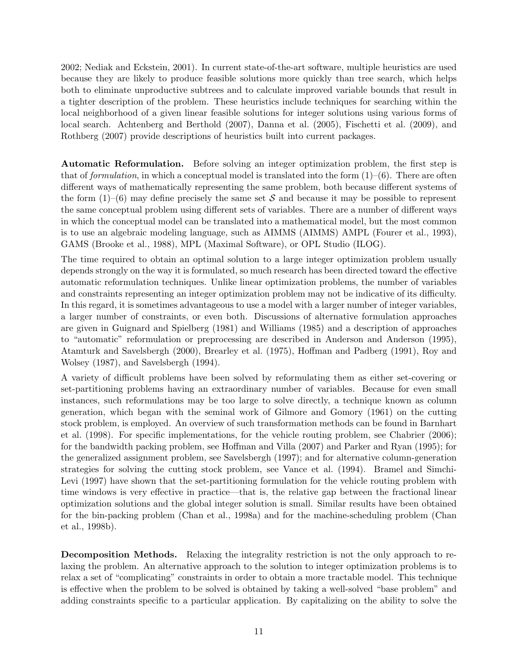2002; Nediak and Eckstein, 2001). In current state-of-the-art software, multiple heuristics are used because they are likely to produce feasible solutions more quickly than tree search, which helps both to eliminate unproductive subtrees and to calculate improved variable bounds that result in a tighter description of the problem. These heuristics include techniques for searching within the local neighborhood of a given linear feasible solutions for integer solutions using various forms of local search. Achtenberg and Berthold (2007), Danna et al. (2005), Fischetti et al. (2009), and Rothberg (2007) provide descriptions of heuristics built into current packages.

Automatic Reformulation. Before solving an integer optimization problem, the first step is that of *formulation*, in which a conceptual model is translated into the form  $(1)$ – $(6)$ . There are often different ways of mathematically representing the same problem, both because different systems of the form  $(1)$ – $(6)$  may define precisely the same set S and because it may be possible to represent the same conceptual problem using different sets of variables. There are a number of different ways in which the conceptual model can be translated into a mathematical model, but the most common is to use an algebraic modeling language, such as AIMMS (AIMMS) AMPL (Fourer et al., 1993), GAMS (Brooke et al., 1988), MPL (Maximal Software), or OPL Studio (ILOG).

The time required to obtain an optimal solution to a large integer optimization problem usually depends strongly on the way it is formulated, so much research has been directed toward the effective automatic reformulation techniques. Unlike linear optimization problems, the number of variables and constraints representing an integer optimization problem may not be indicative of its difficulty. In this regard, it is sometimes advantageous to use a model with a larger number of integer variables, a larger number of constraints, or even both. Discussions of alternative formulation approaches are given in Guignard and Spielberg (1981) and Williams (1985) and a description of approaches to "automatic" reformulation or preprocessing are described in Anderson and Anderson (1995), Atamturk and Savelsbergh (2000), Brearley et al. (1975), Hoffman and Padberg (1991), Roy and Wolsey (1987), and Savelsbergh (1994).

A variety of difficult problems have been solved by reformulating them as either set-covering or set-partitioning problems having an extraordinary number of variables. Because for even small instances, such reformulations may be too large to solve directly, a technique known as column generation, which began with the seminal work of Gilmore and Gomory (1961) on the cutting stock problem, is employed. An overview of such transformation methods can be found in Barnhart et al. (1998). For specific implementations, for the vehicle routing problem, see Chabrier (2006); for the bandwidth packing problem, see Hoffman and Villa (2007) and Parker and Ryan (1995); for the generalized assignment problem, see Savelsbergh (1997); and for alternative column-generation strategies for solving the cutting stock problem, see Vance et al. (1994). Bramel and Simchi-Levi (1997) have shown that the set-partitioning formulation for the vehicle routing problem with time windows is very effective in practice—that is, the relative gap between the fractional linear optimization solutions and the global integer solution is small. Similar results have been obtained for the bin-packing problem (Chan et al., 1998a) and for the machine-scheduling problem (Chan et al., 1998b).

Decomposition Methods. Relaxing the integrality restriction is not the only approach to relaxing the problem. An alternative approach to the solution to integer optimization problems is to relax a set of "complicating" constraints in order to obtain a more tractable model. This technique is effective when the problem to be solved is obtained by taking a well-solved "base problem" and adding constraints specific to a particular application. By capitalizing on the ability to solve the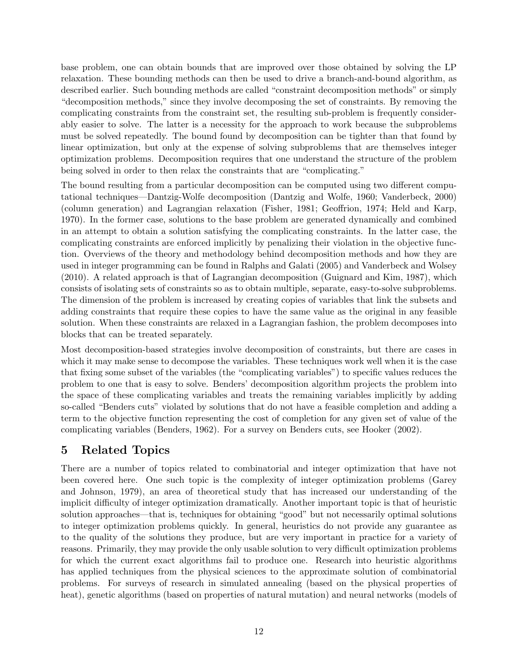base problem, one can obtain bounds that are improved over those obtained by solving the LP relaxation. These bounding methods can then be used to drive a branch-and-bound algorithm, as described earlier. Such bounding methods are called "constraint decomposition methods" or simply "decomposition methods," since they involve decomposing the set of constraints. By removing the complicating constraints from the constraint set, the resulting sub-problem is frequently considerably easier to solve. The latter is a necessity for the approach to work because the subproblems must be solved repeatedly. The bound found by decomposition can be tighter than that found by linear optimization, but only at the expense of solving subproblems that are themselves integer optimization problems. Decomposition requires that one understand the structure of the problem being solved in order to then relax the constraints that are "complicating."

The bound resulting from a particular decomposition can be computed using two different computational techniques—Dantzig-Wolfe decomposition (Dantzig and Wolfe, 1960; Vanderbeck, 2000) (column generation) and Lagrangian relaxation (Fisher, 1981; Geoffrion, 1974; Held and Karp, 1970). In the former case, solutions to the base problem are generated dynamically and combined in an attempt to obtain a solution satisfying the complicating constraints. In the latter case, the complicating constraints are enforced implicitly by penalizing their violation in the objective function. Overviews of the theory and methodology behind decomposition methods and how they are used in integer programming can be found in Ralphs and Galati (2005) and Vanderbeck and Wolsey (2010). A related approach is that of Lagrangian decomposition (Guignard and Kim, 1987), which consists of isolating sets of constraints so as to obtain multiple, separate, easy-to-solve subproblems. The dimension of the problem is increased by creating copies of variables that link the subsets and adding constraints that require these copies to have the same value as the original in any feasible solution. When these constraints are relaxed in a Lagrangian fashion, the problem decomposes into blocks that can be treated separately.

Most decomposition-based strategies involve decomposition of constraints, but there are cases in which it may make sense to decompose the variables. These techniques work well when it is the case that fixing some subset of the variables (the "complicating variables") to specific values reduces the problem to one that is easy to solve. Benders' decomposition algorithm projects the problem into the space of these complicating variables and treats the remaining variables implicitly by adding so-called "Benders cuts" violated by solutions that do not have a feasible completion and adding a term to the objective function representing the cost of completion for any given set of value of the complicating variables (Benders, 1962). For a survey on Benders cuts, see Hooker (2002).

## 5 Related Topics

There are a number of topics related to combinatorial and integer optimization that have not been covered here. One such topic is the complexity of integer optimization problems (Garey and Johnson, 1979), an area of theoretical study that has increased our understanding of the implicit difficulty of integer optimization dramatically. Another important topic is that of heuristic solution approaches—that is, techniques for obtaining "good" but not necessarily optimal solutions to integer optimization problems quickly. In general, heuristics do not provide any guarantee as to the quality of the solutions they produce, but are very important in practice for a variety of reasons. Primarily, they may provide the only usable solution to very difficult optimization problems for which the current exact algorithms fail to produce one. Research into heuristic algorithms has applied techniques from the physical sciences to the approximate solution of combinatorial problems. For surveys of research in simulated annealing (based on the physical properties of heat), genetic algorithms (based on properties of natural mutation) and neural networks (models of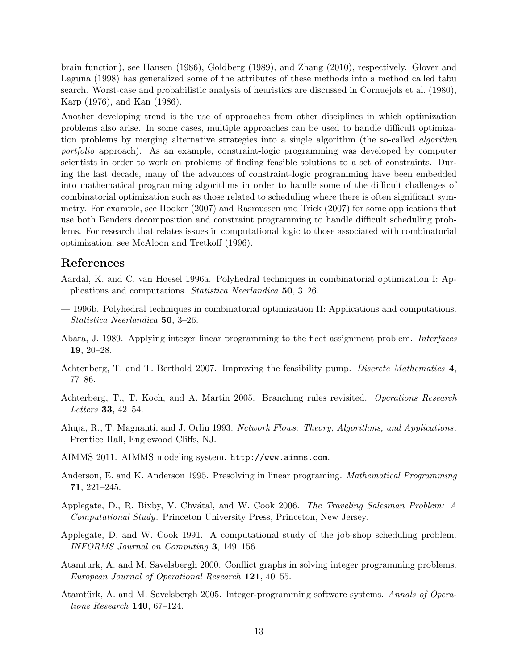brain function), see Hansen (1986), Goldberg (1989), and Zhang (2010), respectively. Glover and Laguna (1998) has generalized some of the attributes of these methods into a method called tabu search. Worst-case and probabilistic analysis of heuristics are discussed in Cornuejols et al. (1980), Karp (1976), and Kan (1986).

Another developing trend is the use of approaches from other disciplines in which optimization problems also arise. In some cases, multiple approaches can be used to handle difficult optimization problems by merging alternative strategies into a single algorithm (the so-called algorithm portfolio approach). As an example, constraint-logic programming was developed by computer scientists in order to work on problems of finding feasible solutions to a set of constraints. During the last decade, many of the advances of constraint-logic programming have been embedded into mathematical programming algorithms in order to handle some of the difficult challenges of combinatorial optimization such as those related to scheduling where there is often significant symmetry. For example, see Hooker (2007) and Rasmussen and Trick (2007) for some applications that use both Benders decomposition and constraint programming to handle difficult scheduling problems. For research that relates issues in computational logic to those associated with combinatorial optimization, see McAloon and Tretkoff (1996).

#### References

- Aardal, K. and C. van Hoesel 1996a. Polyhedral techniques in combinatorial optimization I: Applications and computations. Statistica Neerlandica 50, 3–26.
- 1996b. Polyhedral techniques in combinatorial optimization II: Applications and computations. Statistica Neerlandica 50, 3–26.
- Abara, J. 1989. Applying integer linear programming to the fleet assignment problem. Interfaces 19, 20–28.
- Achtenberg, T. and T. Berthold 2007. Improving the feasibility pump. Discrete Mathematics 4, 77–86.
- Achterberg, T., T. Koch, and A. Martin 2005. Branching rules revisited. Operations Research Letters 33, 42–54.
- Ahuja, R., T. Magnanti, and J. Orlin 1993. Network Flows: Theory, Algorithms, and Applications. Prentice Hall, Englewood Cliffs, NJ.
- AIMMS 2011. AIMMS modeling system. http://www.aimms.com.
- Anderson, E. and K. Anderson 1995. Presolving in linear programing. Mathematical Programming 71, 221–245.
- Applegate, D., R. Bixby, V. Chvátal, and W. Cook 2006. The Traveling Salesman Problem: A Computational Study. Princeton University Press, Princeton, New Jersey.
- Applegate, D. and W. Cook 1991. A computational study of the job-shop scheduling problem. INFORMS Journal on Computing 3, 149–156.
- Atamturk, A. and M. Savelsbergh 2000. Conflict graphs in solving integer programming problems. European Journal of Operational Research 121, 40–55.
- Atamtürk, A. and M. Savelsbergh 2005. Integer-programming software systems. Annals of Operations Research 140, 67–124.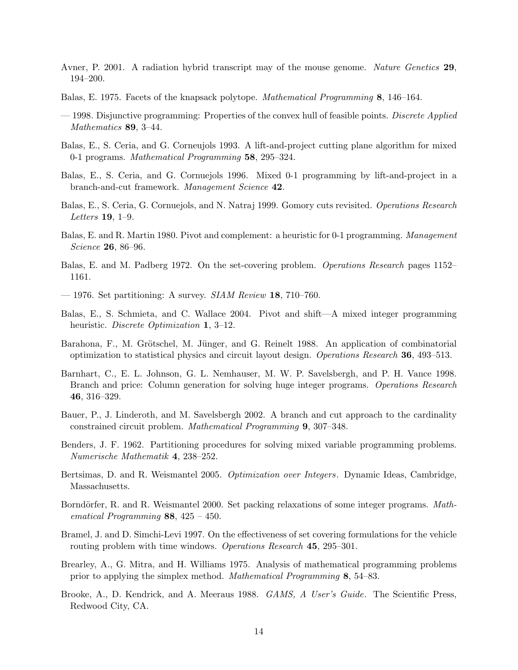- Avner, P. 2001. A radiation hybrid transcript may of the mouse genome. Nature Genetics 29, 194–200.
- Balas, E. 1975. Facets of the knapsack polytope. Mathematical Programming 8, 146–164.
- 1998. Disjunctive programming: Properties of the convex hull of feasible points. *Discrete Applied* Mathematics 89, 3–44.
- Balas, E., S. Ceria, and G. Corneujols 1993. A lift-and-project cutting plane algorithm for mixed 0-1 programs. Mathematical Programming 58, 295–324.
- Balas, E., S. Ceria, and G. Cornuejols 1996. Mixed 0-1 programming by lift-and-project in a branch-and-cut framework. Management Science 42.
- Balas, E., S. Ceria, G. Cornuejols, and N. Natraj 1999. Gomory cuts revisited. Operations Research Letters 19, 1–9.
- Balas, E. and R. Martin 1980. Pivot and complement: a heuristic for 0-1 programming. Management Science **26**, 86–96.
- Balas, E. and M. Padberg 1972. On the set-covering problem. Operations Research pages 1152– 1161.
- $-$  1976. Set partitioning: A survey. *SIAM Review* **18**, 710–760.
- Balas, E., S. Schmieta, and C. Wallace 2004. Pivot and shift—A mixed integer programming heuristic. *Discrete Optimization* 1, 3–12.
- Barahona, F., M. Grötschel, M. Jünger, and G. Reinelt 1988. An application of combinatorial optimization to statistical physics and circuit layout design. Operations Research 36, 493–513.
- Barnhart, C., E. L. Johnson, G. L. Nemhauser, M. W. P. Savelsbergh, and P. H. Vance 1998. Branch and price: Column generation for solving huge integer programs. Operations Research 46, 316–329.
- Bauer, P., J. Linderoth, and M. Savelsbergh 2002. A branch and cut approach to the cardinality constrained circuit problem. Mathematical Programming 9, 307–348.
- Benders, J. F. 1962. Partitioning procedures for solving mixed variable programming problems. Numerische Mathematik 4, 238–252.
- Bertsimas, D. and R. Weismantel 2005. Optimization over Integers. Dynamic Ideas, Cambridge, Massachusetts.
- Borndörfer, R. and R. Weismantel 2000. Set packing relaxations of some integer programs. Mathematical Programming  $88, 425 - 450$ .
- Bramel, J. and D. Simchi-Levi 1997. On the effectiveness of set covering formulations for the vehicle routing problem with time windows. Operations Research 45, 295–301.
- Brearley, A., G. Mitra, and H. Williams 1975. Analysis of mathematical programming problems prior to applying the simplex method. Mathematical Programming 8, 54–83.
- Brooke, A., D. Kendrick, and A. Meeraus 1988. GAMS, A User's Guide. The Scientific Press, Redwood City, CA.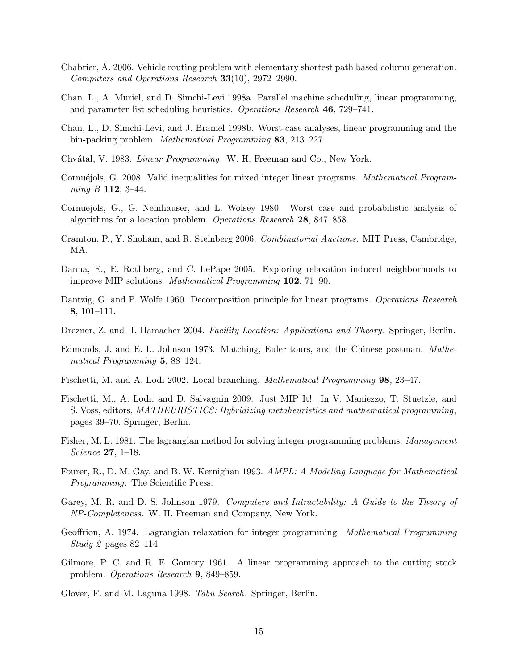- Chabrier, A. 2006. Vehicle routing problem with elementary shortest path based column generation. Computers and Operations Research 33(10), 2972–2990.
- Chan, L., A. Muriel, and D. Simchi-Levi 1998a. Parallel machine scheduling, linear programming, and parameter list scheduling heuristics. Operations Research 46, 729–741.
- Chan, L., D. Simchi-Levi, and J. Bramel 1998b. Worst-case analyses, linear programming and the bin-packing problem. Mathematical Programming 83, 213–227.
- Chvátal, V. 1983. Linear Programming. W. H. Freeman and Co., New York.
- Cornuéjols, G. 2008. Valid inequalities for mixed integer linear programs. *Mathematical Programming B* 112, 3-44.
- Cornuejols, G., G. Nemhauser, and L. Wolsey 1980. Worst case and probabilistic analysis of algorithms for a location problem. Operations Research 28, 847–858.
- Cramton, P., Y. Shoham, and R. Steinberg 2006. Combinatorial Auctions. MIT Press, Cambridge, MA.
- Danna, E., E. Rothberg, and C. LePape 2005. Exploring relaxation induced neighborhoods to improve MIP solutions. Mathematical Programming 102, 71–90.
- Dantzig, G. and P. Wolfe 1960. Decomposition principle for linear programs. Operations Research 8, 101–111.
- Drezner, Z. and H. Hamacher 2004. Facility Location: Applications and Theory. Springer, Berlin.
- Edmonds, J. and E. L. Johnson 1973. Matching, Euler tours, and the Chinese postman. Mathematical Programming 5, 88–124.
- Fischetti, M. and A. Lodi 2002. Local branching. Mathematical Programming 98, 23–47.
- Fischetti, M., A. Lodi, and D. Salvagnin 2009. Just MIP It! In V. Maniezzo, T. Stuetzle, and S. Voss, editors, MATHEURISTICS: Hybridizing metaheuristics and mathematical programming, pages 39–70. Springer, Berlin.
- Fisher, M. L. 1981. The lagrangian method for solving integer programming problems. Management Science 27, 1–18.
- Fourer, R., D. M. Gay, and B. W. Kernighan 1993. AMPL: A Modeling Language for Mathematical Programming. The Scientific Press.
- Garey, M. R. and D. S. Johnson 1979. Computers and Intractability: A Guide to the Theory of NP-Completeness. W. H. Freeman and Company, New York.
- Geoffrion, A. 1974. Lagrangian relaxation for integer programming. Mathematical Programming Study 2 pages  $82-114$ .
- Gilmore, P. C. and R. E. Gomory 1961. A linear programming approach to the cutting stock problem. Operations Research 9, 849–859.
- Glover, F. and M. Laguna 1998. Tabu Search. Springer, Berlin.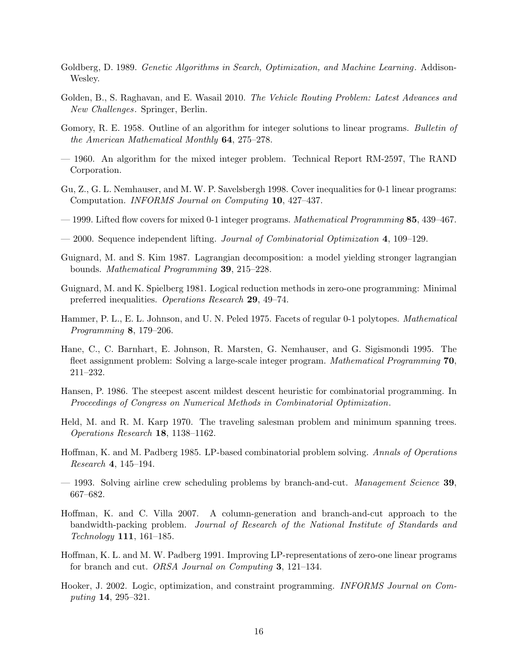- Goldberg, D. 1989. *Genetic Algorithms in Search, Optimization, and Machine Learning*. Addison-Wesley.
- Golden, B., S. Raghavan, and E. Wasail 2010. The Vehicle Routing Problem: Latest Advances and New Challenges. Springer, Berlin.
- Gomory, R. E. 1958. Outline of an algorithm for integer solutions to linear programs. Bulletin of the American Mathematical Monthly 64, 275–278.
- 1960. An algorithm for the mixed integer problem. Technical Report RM-2597, The RAND Corporation.
- Gu, Z., G. L. Nemhauser, and M. W. P. Savelsbergh 1998. Cover inequalities for 0-1 linear programs: Computation. INFORMS Journal on Computing 10, 427–437.
- $-1999$ . Lifted flow covers for mixed 0-1 integer programs. Mathematical Programming 85, 439–467.
- $-2000$ . Sequence independent lifting. *Journal of Combinatorial Optimization* 4, 109–129.
- Guignard, M. and S. Kim 1987. Lagrangian decomposition: a model yielding stronger lagrangian bounds. Mathematical Programming 39, 215–228.
- Guignard, M. and K. Spielberg 1981. Logical reduction methods in zero-one programming: Minimal preferred inequalities. Operations Research 29, 49–74.
- Hammer, P. L., E. L. Johnson, and U. N. Peled 1975. Facets of regular 0-1 polytopes. Mathematical Programming 8, 179–206.
- Hane, C., C. Barnhart, E. Johnson, R. Marsten, G. Nemhauser, and G. Sigismondi 1995. The fleet assignment problem: Solving a large-scale integer program. Mathematical Programming 70, 211–232.
- Hansen, P. 1986. The steepest ascent mildest descent heuristic for combinatorial programming. In Proceedings of Congress on Numerical Methods in Combinatorial Optimization.
- Held, M. and R. M. Karp 1970. The traveling salesman problem and minimum spanning trees. Operations Research 18, 1138–1162.
- Hoffman, K. and M. Padberg 1985. LP-based combinatorial problem solving. Annals of Operations Research 4, 145–194.
- 1993. Solving airline crew scheduling problems by branch-and-cut. Management Science 39, 667–682.
- Hoffman, K. and C. Villa 2007. A column-generation and branch-and-cut approach to the bandwidth-packing problem. Journal of Research of the National Institute of Standards and Technology 111, 161–185.
- Hoffman, K. L. and M. W. Padberg 1991. Improving LP-representations of zero-one linear programs for branch and cut. ORSA Journal on Computing 3, 121–134.
- Hooker, J. 2002. Logic, optimization, and constraint programming. INFORMS Journal on Computing 14, 295–321.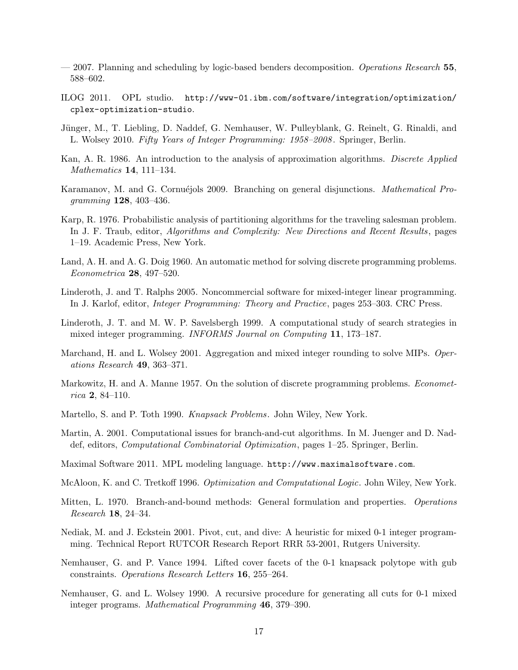- $-2007$ . Planning and scheduling by logic-based benders decomposition. *Operations Research* 55, 588–602.
- ILOG 2011. OPL studio. http://www-01.ibm.com/software/integration/optimization/ cplex-optimization-studio.
- Jünger, M., T. Liebling, D. Naddef, G. Nemhauser, W. Pulleyblank, G. Reinelt, G. Rinaldi, and L. Wolsey 2010. Fifty Years of Integer Programming: 1958–2008 . Springer, Berlin.
- Kan, A. R. 1986. An introduction to the analysis of approximation algorithms. Discrete Applied Mathematics 14, 111–134.
- Karamanov, M. and G. Cornuéjols 2009. Branching on general disjunctions. Mathematical Programming 128, 403–436.
- Karp, R. 1976. Probabilistic analysis of partitioning algorithms for the traveling salesman problem. In J. F. Traub, editor, Algorithms and Complexity: New Directions and Recent Results, pages 1–19. Academic Press, New York.
- Land, A. H. and A. G. Doig 1960. An automatic method for solving discrete programming problems. Econometrica 28, 497–520.
- Linderoth, J. and T. Ralphs 2005. Noncommercial software for mixed-integer linear programming. In J. Karlof, editor, Integer Programming: Theory and Practice, pages 253–303. CRC Press.
- Linderoth, J. T. and M. W. P. Savelsbergh 1999. A computational study of search strategies in mixed integer programming. INFORMS Journal on Computing 11, 173–187.
- Marchand, H. and L. Wolsey 2001. Aggregation and mixed integer rounding to solve MIPs. Operations Research 49, 363–371.
- Markowitz, H. and A. Manne 1957. On the solution of discrete programming problems. *Economet*rica 2, 84–110.
- Martello, S. and P. Toth 1990. Knapsack Problems. John Wiley, New York.
- Martin, A. 2001. Computational issues for branch-and-cut algorithms. In M. Juenger and D. Naddef, editors, Computational Combinatorial Optimization, pages 1–25. Springer, Berlin.
- Maximal Software 2011. MPL modeling language. http://www.maximalsoftware.com.
- McAloon, K. and C. Tretkoff 1996. Optimization and Computational Logic. John Wiley, New York.
- Mitten, L. 1970. Branch-and-bound methods: General formulation and properties. Operations Research 18, 24–34.
- Nediak, M. and J. Eckstein 2001. Pivot, cut, and dive: A heuristic for mixed 0-1 integer programming. Technical Report RUTCOR Research Report RRR 53-2001, Rutgers University.
- Nemhauser, G. and P. Vance 1994. Lifted cover facets of the 0-1 knapsack polytope with gub constraints. Operations Research Letters 16, 255–264.
- Nemhauser, G. and L. Wolsey 1990. A recursive procedure for generating all cuts for 0-1 mixed integer programs. Mathematical Programming 46, 379–390.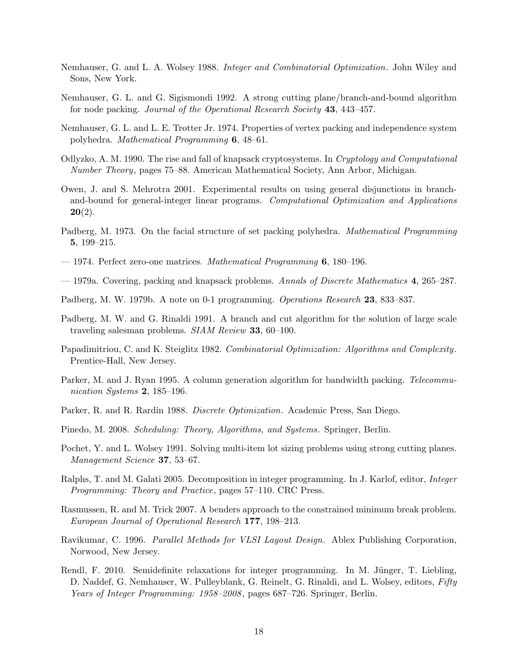- Nemhauser, G. and L. A. Wolsey 1988. Integer and Combinatorial Optimization. John Wiley and Sons, New York.
- Nemhauser, G. L. and G. Sigismondi 1992. A strong cutting plane/branch-and-bound algorithm for node packing. Journal of the Operational Research Society 43, 443–457.
- Nemhauser, G. L. and L. E. Trotter Jr. 1974. Properties of vertex packing and independence system polyhedra. Mathematical Programming 6, 48–61.
- Odlyzko, A. M. 1990. The rise and fall of knapsack cryptosystems. In Cryptology and Computational Number Theory, pages 75–88. American Mathematical Society, Ann Arbor, Michigan.
- Owen, J. and S. Mehrotra 2001. Experimental results on using general disjunctions in branchand-bound for general-integer linear programs. Computational Optimization and Applications  $20(2)$ .
- Padberg, M. 1973. On the facial structure of set packing polyhedra. *Mathematical Programming* 5, 199–215.
- $-1974.$  Perfect zero-one matrices. Mathematical Programming 6, 180–196.
- $-$  1979a. Covering, packing and knapsack problems. Annals of Discrete Mathematics 4, 265–287.
- Padberg, M. W. 1979b. A note on 0-1 programming. Operations Research 23, 833–837.
- Padberg, M. W. and G. Rinaldi 1991. A branch and cut algorithm for the solution of large scale traveling salesman problems. SIAM Review 33, 60–100.
- Papadimitriou, C. and K. Steiglitz 1982. Combinatorial Optimization: Algorithms and Complexity. Prentice-Hall, New Jersey.
- Parker, M. and J. Ryan 1995. A column generation algorithm for bandwidth packing. Telecommunication Systems 2, 185–196.
- Parker, R. and R. Rardin 1988. *Discrete Optimization*. Academic Press, San Diego.
- Pinedo, M. 2008. Scheduling: Theory, Algorithms, and Systems. Springer, Berlin.
- Pochet, Y. and L. Wolsey 1991. Solving multi-item lot sizing problems using strong cutting planes. Management Science **37**, 53–67.
- Ralphs, T. and M. Galati 2005. Decomposition in integer programming. In J. Karlof, editor, Integer Programming: Theory and Practice, pages 57–110. CRC Press.
- Rasmussen, R. and M. Trick 2007. A benders approach to the constrained minimum break problem. European Journal of Operational Research 177, 198–213.
- Ravikumar, C. 1996. Parallel Methods for VLSI Layout Design. Ablex Publishing Corporation, Norwood, New Jersey.
- Rendl, F. 2010. Semidefinite relaxations for integer programming. In M. Jünger, T. Liebling, D. Naddef, G. Nemhauser, W. Pulleyblank, G. Reinelt, G. Rinaldi, and L. Wolsey, editors, Fifty Years of Integer Programming: 1958–2008 , pages 687–726. Springer, Berlin.